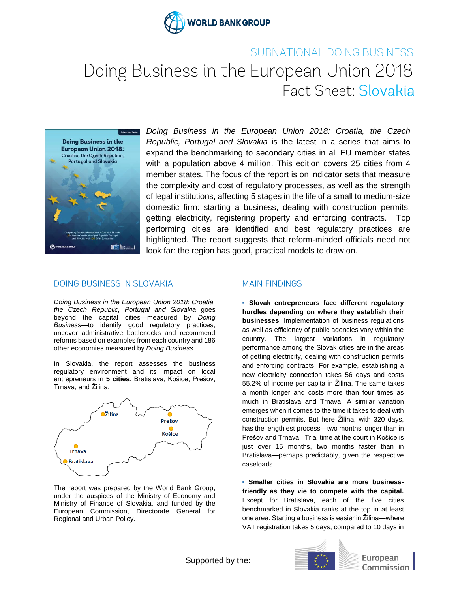

## SUBNATIONAL DOING BUSINESS Doing Business in the European Union 2018 Fact Sheet: Slovakia



*Doing Business in the European Union 2018: Croatia, the Czech Republic, Portugal and Slovakia* is the latest in a series that aims to expand the benchmarking to secondary cities in all EU member states with a population above 4 million. This edition covers 25 cities from 4 member states. The focus of the report is on indicator sets that measure the complexity and cost of regulatory processes, as well as the strength of legal institutions, affecting 5 stages in the life of a small to medium-size domestic firm: starting a business, dealing with construction permits, getting electricity, registering property and enforcing contracts. Top performing cities are identified and best regulatory practices are highlighted. The report suggests that reform-minded officials need not look far: the region has good, practical models to draw on.

## **DOING BUSINESS IN SLOVAKIA**

*Doing Business in the European Union 2018: Croatia, the Czech Republic, Portugal and Slovakia* goes beyond the capital cities—measured by *Doing Business—*to identify good regulatory practices, uncover administrative bottlenecks and recommend reforms based on examples from each country and 186 other economies measured by *Doing Business*.

In Slovakia, the report assesses the business regulatory environment and its impact on local entrepreneurs in **5 cities**: Bratislava, Košice, Prešov, Trnava, and Žilina.



The report was prepared by the World Bank Group, under the auspices of the Ministry of Economy and Ministry of Finance of Slovakia, and funded by the European Commission, Directorate General for Regional and Urban Policy.

## **MAIN FINDINGS**

**▪ Slovak entrepreneurs face different regulatory hurdles depending on where they establish their businesses**. Implementation of business regulations as well as efficiency of public agencies vary within the country. The largest variations in regulatory performance among the Slovak cities are in the areas of getting electricity, dealing with construction permits and enforcing contracts. For example, establishing a new electricity connection takes 56 days and costs 55.2% of income per capita in Žilina. The same takes a month longer and costs more than four times as much in Bratislava and Trnava. A similar variation emerges when it comes to the time it takes to deal with construction permits. But here Žilina, with 320 days, has the lengthiest process—two months longer than in Prešov and Trnava. Trial time at the court in Košice is just over 15 months, two months faster than in Bratislava—perhaps predictably, given the respective caseloads.

**▪ Smaller cities in Slovakia are more businessfriendly as they vie to compete with the capital.**  Except for Bratislava, each of the five cities benchmarked in Slovakia ranks at the top in at least one area. Starting a business is easier in Žilina—where VAT registration takes 5 days, compared to 10 days in



European Commission